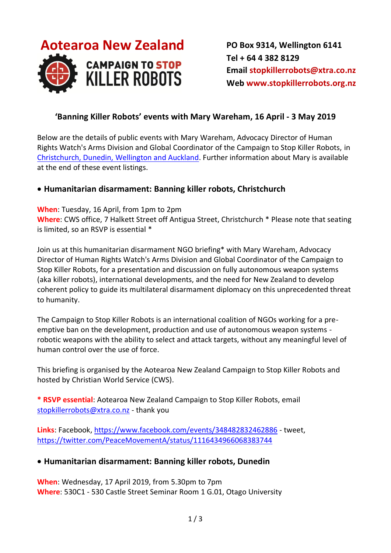

**PO Box 9314, Wellington 6141 Tel + 64 4 382 8129 Email [stopkillerrobots@xtra.co.nz](mailto:stopkillerrobots@xtra.co.nz?subject=Killer%20robots%20release%20August%202018) Web [www.stopkillerrobots.org.nz](http://www.stopkillerrobots.org.nz/)**

#### **'Banning Killer Robots' events with Mary Wareham, 16 April - 3 May 2019**

Below are the details of public events with Mary Wareham, Advocacy Director of Human Rights Watch's Arms Division and Global Coordinator of the Campaign to Stop Killer Robots, in [Christchurch, Dunedin, Wellington and Auckland.](https://www.facebook.com/notes/peace-movement-aotearoa/national-speaking-tour-mary-wareham-april-may-2019/2156223064425051) Further information about Mary is available at the end of these event listings.

#### **Humanitarian disarmament: Banning killer robots, Christchurch**

#### **When**: Tuesday, 16 April, from 1pm to 2pm

**Where**: CWS office, 7 Halkett Street off Antigua Street, Christchurch \* Please note that seating is limited, so an RSVP is essential \*

Join us at this humanitarian disarmament NGO briefing\* with Mary Wareham, Advocacy Director of Human Rights Watch's Arms Division and Global Coordinator of the Campaign to Stop Killer Robots, for a presentation and discussion on fully autonomous weapon systems (aka killer robots), international developments, and the need for New Zealand to develop coherent policy to guide its multilateral disarmament diplomacy on this unprecedented threat to humanity.

The Campaign to Stop Killer Robots is an international coalition of NGOs working for a preemptive ban on the development, production and use of autonomous weapon systems robotic weapons with the ability to select and attack targets, without any meaningful level of human control over the use of force.

This briefing is organised by the Aotearoa New Zealand Campaign to Stop Killer Robots and hosted by Christian World Service (CWS).

**\* RSVP essential**: Aotearoa New Zealand Campaign to Stop Killer Robots, email [stopkillerrobots@xtra.co.nz](mailto:stopkillerrobots@xtra.co.nz) - thank you

**Links**: Facebook,<https://www.facebook.com/events/348482832462886> - tweet, <https://twitter.com/PeaceMovementA/status/1116434966068383744>

#### **Humanitarian disarmament: Banning killer robots, Dunedin**

**When**: Wednesday, 17 April 2019, from 5.30pm to 7pm **Where**: 530C1 - 530 Castle Street Seminar Room 1 G.01, Otago University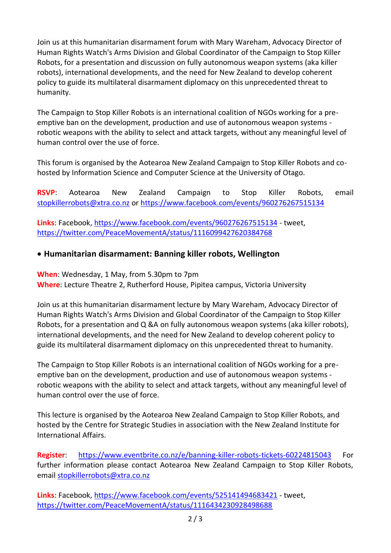Join us at this humanitarian disarmament forum with Mary Wareham, Advocacy Director of Human Rights Watch's Arms Division and Global Coordinator of the Campaign to Stop Killer Robots, for a presentation and discussion on fully autonomous weapon systems (aka killer robots), international developments, and the need for New Zealand to develop coherent policy to guide its multilateral disarmament diplomacy on this unprecedented threat to humanity.

The Campaign to Stop Killer Robots is an international coalition of NGOs working for a preemptive ban on the development, production and use of autonomous weapon systems robotic weapons with the ability to select and attack targets, without any meaningful level of human control over the use of force.

This forum is organised by the Aotearoa New Zealand Campaign to Stop Killer Robots and cohosted by Information Science and Computer Science at the University of Otago.

**RSVP**: Aotearoa New Zealand Campaign to Stop Killer Robots, email [stopkillerrobots@xtra.co.nz](mailto:stopkillerrobots@xtra.co.nz) or<https://www.facebook.com/events/960276267515134>

**Links**: Facebook,<https://www.facebook.com/events/960276267515134> - tweet, <https://twitter.com/PeaceMovementA/status/1116099427620384768>

### **Humanitarian disarmament: Banning killer robots, Wellington**

**When**: Wednesday, 1 May, from 5.30pm to 7pm **Where**: Lecture Theatre 2, Rutherford House, Pipitea campus, Victoria University

Join us at this humanitarian disarmament lecture by Mary Wareham, Advocacy Director of Human Rights Watch's Arms Division and Global Coordinator of the Campaign to Stop Killer Robots, for a presentation and Q &A on fully autonomous weapon systems (aka killer robots), international developments, and the need for New Zealand to develop coherent policy to guide its multilateral disarmament diplomacy on this unprecedented threat to humanity.

The Campaign to Stop Killer Robots is an international coalition of NGOs working for a preemptive ban on the development, production and use of autonomous weapon systems robotic weapons with the ability to select and attack targets, without any meaningful level of human control over the use of force.

This lecture is organised by the Aotearoa New Zealand Campaign to Stop Killer Robots, and hosted by the Centre for Strategic Studies in association with the New Zealand Institute for International Affairs.

**Register:** <https://www.eventbrite.co.nz/e/banning-killer-robots-tickets-60224815043> For further information please contact Aotearoa New Zealand Campaign to Stop Killer Robots, email [stopkillerrobots@xtra.co.nz](mailto:stopkillerrobots@xtra.co.nz)

**Links**: Facebook,<https://www.facebook.com/events/525141494683421> - tweet, <https://twitter.com/PeaceMovementA/status/1116434230928498688>